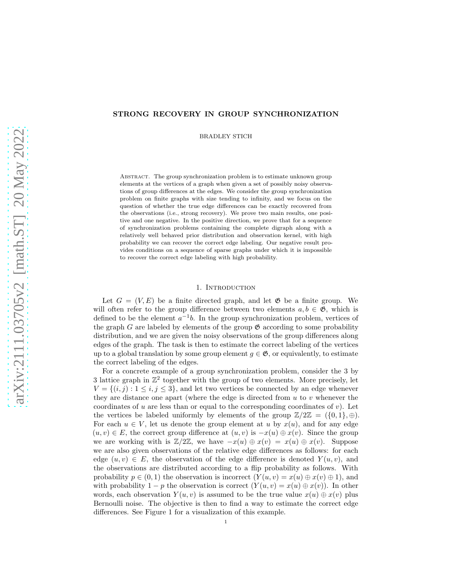# STRONG RECOVERY IN GROUP SYNCHRONIZATION

BRADLEY STICH

Abstract. The group synchronization problem is to estimate unknown group elements at the vertices of a graph when given a set of possibly noisy observations of group differences at the edges. We consider the group synchronization problem on finite graphs with size tending to infinity, and we focus on the question of whether the true edge differences can be exactly recovered from the observations (i.e., strong recovery). We prove two main results, one positive and one negative. In the positive direction, we prove that for a sequence of synchronization problems containing the complete digraph along with a relatively well behaved prior distribution and observation kernel, with high probability we can recover the correct edge labeling. Our negative result provides conditions on a sequence of sparse graphs under which it is impossible to recover the correct edge labeling with high probability.

### 1. INTRODUCTION

Let  $G = (V, E)$  be a finite directed graph, and let  $\mathfrak{G}$  be a finite group. We will often refer to the group difference between two elements  $a, b \in \mathfrak{G}$ , which is defined to be the element  $a^{-1}b$ . In the group synchronization problem, vertices of the graph G are labeled by elements of the group  $\mathfrak G$  according to some probability distribution, and we are given the noisy observations of the group differences along edges of the graph. The task is then to estimate the correct labeling of the vertices up to a global translation by some group element  $g \in \mathfrak{G}$ , or equivalently, to estimate the correct labeling of the edges.

For a concrete example of a group synchronization problem, consider the 3 by 3 lattice graph in  $\mathbb{Z}^2$  together with the group of two elements. More precisely, let  $V = \{(i, j) : 1 \leq i, j \leq 3\}$ , and let two vertices be connected by an edge whenever they are distance one apart (where the edge is directed from  $u$  to  $v$  whenever the coordinates of u are less than or equal to the corresponding coordinates of  $v$ ). Let the vertices be labeled uniformly by elements of the group  $\mathbb{Z}/2\mathbb{Z} = (\{0,1\},\oplus)$ . For each  $u \in V$ , let us denote the group element at u by  $x(u)$ , and for any edge  $(u, v) \in E$ , the correct group difference at  $(u, v)$  is  $-x(u) \oplus x(v)$ . Since the group we are working with is  $\mathbb{Z}/2\mathbb{Z}$ , we have  $-x(u) \oplus x(v) = x(u) \oplus x(v)$ . Suppose we are also given observations of the relative edge differences as follows: for each edge  $(u, v) \in E$ , the observation of the edge difference is denoted  $Y(u, v)$ , and the observations are distributed according to a flip probability as follows. With probability  $p \in (0,1)$  the observation is incorrect  $(Y(u, v) = x(u) \oplus x(v) \oplus 1)$ , and with probability 1 – p the observation is correct  $(Y(u, v) = x(u) \oplus x(v))$ . In other words, each observation  $Y(u, v)$  is assumed to be the true value  $x(u) \oplus x(v)$  plus Bernoulli noise. The objective is then to find a way to estimate the correct edge differences. See Figure 1 for a visualization of this example.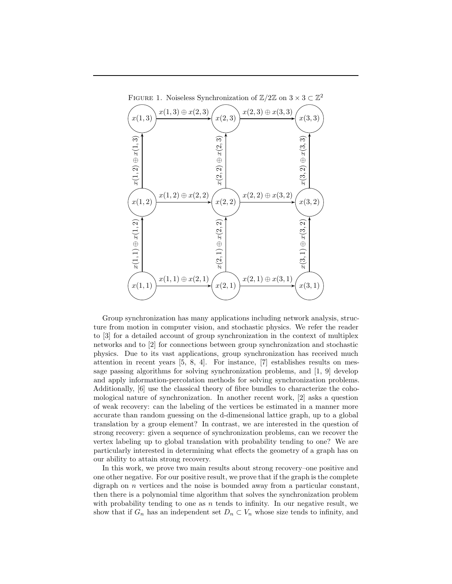

Group synchronization has many applications including network analysis, structure from motion in computer vision, and stochastic physics. We refer the reader to [3] for a detailed account of group synchronization in the context of multiplex networks and to [2] for connections between group synchronization and stochastic physics. Due to its vast applications, group synchronization has received much attention in recent years [5, 8, 4]. For instance, [7] establishes results on message passing algorithms for solving synchronization problems, and [1, 9] develop and apply information-percolation methods for solving synchronization problems. Additionally, [6] use the classical theory of fibre bundles to characterize the cohomological nature of synchronization. In another recent work, [2] asks a question of weak recovery: can the labeling of the vertices be estimated in a manner more accurate than random guessing on the d-dimensional lattice graph, up to a global translation by a group element? In contrast, we are interested in the question of strong recovery: given a sequence of synchronization problems, can we recover the vertex labeling up to global translation with probability tending to one? We are particularly interested in determining what effects the geometry of a graph has on our ability to attain strong recovery.

In this work, we prove two main results about strong recovery–one positive and one other negative. For our positive result, we prove that if the graph is the complete digraph on  $n$  vertices and the noise is bounded away from a particular constant, then there is a polynomial time algorithm that solves the synchronization problem with probability tending to one as  $n$  tends to infinity. In our negative result, we show that if  $G_n$  has an independent set  $D_n \subset V_n$  whose size tends to infinity, and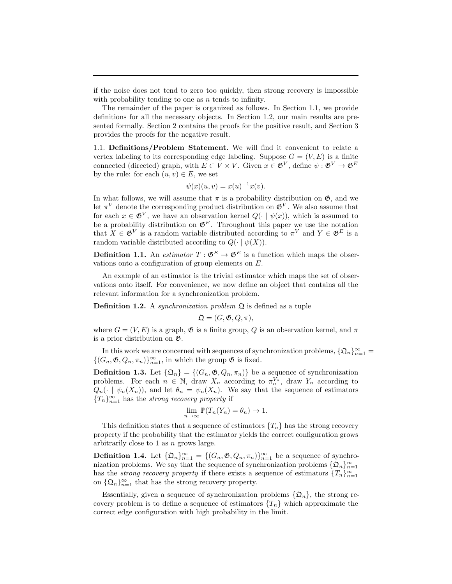if the noise does not tend to zero too quickly, then strong recovery is impossible with probability tending to one as  $n$  tends to infinity.

The remainder of the paper is organized as follows. In Section 1.1, we provide definitions for all the necessary objects. In Section 1.2, our main results are presented formally. Section 2 contains the proofs for the positive result, and Section 3 provides the proofs for the negative result.

1.1. Definitions/Problem Statement. We will find it convenient to relate a vertex labeling to its corresponding edge labeling. Suppose  $G = (V, E)$  is a finite connected (directed) graph, with  $E \subset V \times V$ . Given  $x \in \mathfrak{G}^V$ , define  $\psi : \mathfrak{G}^V \to \mathfrak{G}^E$ by the rule: for each  $(u, v) \in E$ , we set

$$
\psi(x)(u,v) = x(u)^{-1}x(v).
$$

In what follows, we will assume that  $\pi$  is a probability distribution on  $\mathfrak{G}$ , and we let  $\pi^V$  denote the corresponding product distribution on  $\mathfrak{G}^V$ . We also assume that for each  $x \in \mathfrak{G}^V$ , we have an observation kernel  $Q(\cdot | \psi(x))$ , which is assumed to be a probability distribution on  $\mathfrak{G}^E$ . Throughout this paper we use the notation that  $X \in \mathfrak{G}^V$  is a random variable distributed according to  $\pi^V$  and  $Y \in \mathfrak{G}^E$  is a random variable distributed according to  $Q(\cdot | \psi(X))$ .

**Definition 1.1.** An *estimator*  $T : \mathfrak{G}^E \to \mathfrak{G}^E$  is a function which maps the observations onto a configuration of group elements on E.

An example of an estimator is the trivial estimator which maps the set of observations onto itself. For convenience, we now define an object that contains all the relevant information for a synchronization problem.

**Definition 1.2.** A *synchronization problem*  $\Omega$  is defined as a tuple

$$
\mathfrak{Q} = (G, \mathfrak{G}, Q, \pi),
$$

where  $G = (V, E)$  is a graph,  $\mathfrak G$  is a finite group, Q is an observation kernel, and  $\pi$ is a prior distribution on G.

In this work we are concerned with sequences of synchronization problems,  $\{\mathfrak{Q}_n\}_{n=1}^{\infty}$  =  $\{(G_n, \mathfrak{G}, Q_n, \pi_n)\}_{n=1}^{\infty}$ , in which the group  $\mathfrak{G}$  is fixed.

**Definition 1.3.** Let  $\{\mathfrak{Q}_n\} = \{(G_n, \mathfrak{G}, Q_n, \pi_n)\}\$ be a sequence of synchronization problems. For each  $n \in \mathbb{N}$ , draw  $X_n$  according to  $\pi_n^{V_n}$ , draw  $Y_n$  according to  $Q_n(\cdot | \psi_n(X_n))$ , and let  $\theta_n = \psi_n(X_n)$ . We say that the sequence of estimators  ${T_n}_{n=1}^{\infty}$  has the *strong recovery property* if

$$
\lim_{n \to \infty} \mathbb{P}(T_n(Y_n) = \theta_n) \to 1.
$$

This definition states that a sequence of estimators  $\{T_n\}$  has the strong recovery property if the probability that the estimator yields the correct configuration grows arbitrarily close to 1 as n grows large.

**Definition 1.4.** Let  $\{\mathfrak{Q}_n\}_{n=1}^{\infty} = \{(G_n, \mathfrak{G}, Q_n, \pi_n)\}_{n=1}^{\infty}$  be a sequence of synchronization problems. We say that the sequence of synchronization problems  $\{\mathfrak{Q}_n\}_{n=1}^{\infty}$ has the *strong recovery property* if there exists a sequence of estimators  ${T_n}_{n=1}^{\infty}$ on  $\{\mathfrak{Q}_n\}_{n=1}^{\infty}$  that has the strong recovery property.

Essentially, given a sequence of synchronization problems  $\{\mathfrak{Q}_n\}$ , the strong recovery problem is to define a sequence of estimators  ${T_n}$  which approximate the correct edge configuration with high probability in the limit.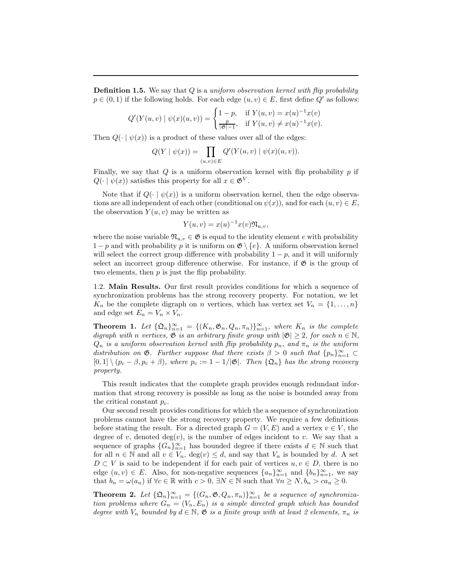Definition 1.5. We say that Q is a *uniform observation kernel with flip probability*  $p \in (0,1)$  if the following holds. For each edge  $(u, v) \in E$ , first define  $Q'$  as follows:

$$
Q'(Y(u, v) | \psi(x)(u, v)) = \begin{cases} 1 - p, & \text{if } Y(u, v) = x(u)^{-1}x(v) \\ \frac{p}{|\mathfrak{G}|-1}, & \text{if } Y(u, v) \neq x(u)^{-1}x(v). \end{cases}
$$

Then  $Q(\cdot | \psi(x))$  is a product of these values over all of the edges:

$$
Q(Y | \psi(x)) = \prod_{(u,v) \in E} Q'(Y(u,v) | \psi(x)(u,v)).
$$

Finally, we say that  $Q$  is a uniform observation kernel with flip probability  $p$  if  $Q(\cdot | \psi(x))$  satisfies this property for all  $x \in \mathfrak{G}^V$ .

Note that if  $Q(\cdot | \psi(x))$  is a uniform observation kernel, then the edge observations are all independent of each other (conditional on  $\psi(x)$ ), and for each  $(u, v) \in E$ , the observation  $Y(u, v)$  may be written as

$$
Y(u,v) = x(u)^{-1}x(v)\mathfrak{N}_{u,v},
$$

where the noise variable  $\mathfrak{N}_{u,v} \in \mathfrak{G}$  is equal to the identity element e with probability  $1-p$  and with probability p it is uniform on  $\mathfrak{G} \setminus \{e\}$ . A uniform observation kernel will select the correct group difference with probability  $1 - p$ , and it will uniformly select an incorrect group difference otherwise. For instance, if  $\mathfrak{G}$  is the group of two elements, then  $p$  is just the flip probability.

1.2. Main Results. Our first result provides conditions for which a sequence of synchronization problems has the strong recovery property. For notation, we let  $K_n$  be the complete digraph on n vertices, which has vertex set  $V_n = \{1, \ldots, n\}$ and edge set  $E_n = V_n \times V_n$ .

**Theorem 1.** Let  $\{\mathfrak{Q}_n\}_{n=1}^{\infty} = \{(K_n, \mathfrak{G}_n, Q_n, \pi_n)\}_{n=1}^{\infty}$ , where  $K_n$  is the complete *digraph with n vertices*,  $\mathfrak{G}$  *is an arbitrary finite group with*  $|\mathfrak{G}| \geq 2$ *, for each*  $n \in \mathbb{N}$ *,*  $Q_n$  *is a uniform observation kernel with flip probability*  $p_n$ *, and*  $\pi_n$  *is the uniform* distribution on  $\mathfrak{G}$ *. Further suppose that there exists*  $\beta > 0$  *such that*  $\{p_n\}_{n=1}^{\infty} \subset$  $[0,1] \setminus (p_c - \beta, p_c + \beta)$ *, where*  $p_c := 1 - 1/|\mathfrak{G}|$ *. Then*  $\{\mathfrak{Q}_n\}$  *has the strong recovery property.*

This result indicates that the complete graph provides enough redundant information that strong recovery is possible as long as the noise is bounded away from the critical constant  $p_c$ .

Our second result provides conditions for which the a sequence of synchronization problems cannot have the strong recovery property. We require a few definitions before stating the result. For a directed graph  $G = (V, E)$  and a vertex  $v \in V$ , the degree of v, denoted  $deg(v)$ , is the number of edges incident to v. We say that a sequence of graphs  ${G_n}_{n=1}^{\infty}$  has bounded degree if there exists  $d \in \mathbb{N}$  such that for all  $n \in \mathbb{N}$  and all  $v \in V_n$ ,  $\deg(v) \leq d$ , and say that  $V_n$  is bounded by d. A set  $D \subset V$  is said to be independent if for each pair of vertices  $u, v \in D$ , there is no edge  $(u, v) \in E$ . Also, for non-negative sequences  $\{a_n\}_{n=1}^{\infty}$  and  $\{b_n\}_{n=1}^{\infty}$ , we say that  $b_n = \omega(a_n)$  if  $\forall c \in \mathbb{R}$  with  $c > 0$ ,  $\exists N \in \mathbb{N}$  such that  $\forall n \ge N, b_n > ca_n \ge 0$ .

**Theorem 2.** Let  $\{\mathfrak{Q}_n\}_{n=1}^{\infty} = \{(G_n, \mathfrak{G}, Q_n, \pi_n)\}_{n=1}^{\infty}$  be a sequence of synchroniza*tion problems where*  $G_n = (V_n, E_n)$  *is a simple directed graph which has bounded degree with*  $V_n$  *bounded by*  $d \in \mathbb{N}$ ,  $\mathfrak{G}$  *is a finite group with at least 2 elements*,  $\pi_n$  *is*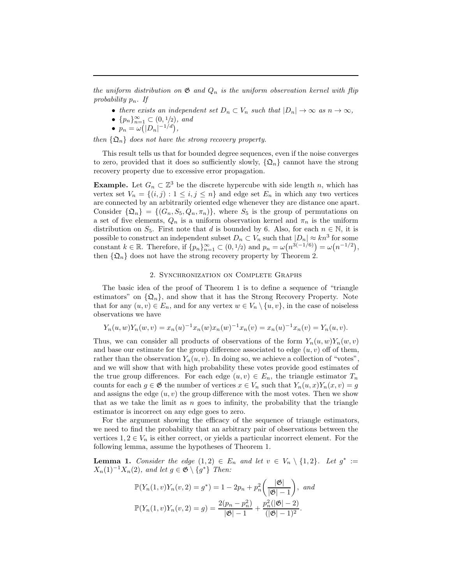*the uniform distribution on*  $\mathfrak{G}$  *and*  $Q_n$  *is the uniform observation kernel with flip probability* pn*. If*

- there exists an independent set  $D_n \subset V_n$  such that  $|D_n| \to \infty$  as  $n \to \infty$ ,
- $\{p_n\}_{n=1}^{\infty} \subset (0, 1/2)$ *, and*
- $p_n = \omega(|D_n|^{-1/d}),$

*then*  $\{\mathfrak{Q}_n\}$  *does not have the strong recovery property.* 

This result tells us that for bounded degree sequences, even if the noise converges to zero, provided that it does so sufficiently slowly,  $\{\mathfrak{Q}_n\}$  cannot have the strong recovery property due to excessive error propagation.

**Example.** Let  $G_n \subset \mathbb{Z}^3$  be the discrete hypercube with side length n, which has vertex set  $V_n = \{(i, j) : 1 \leq i, j \leq n\}$  and edge set  $E_n$  in which any two vertices are connected by an arbitrarily oriented edge whenever they are distance one apart. Consider  $\{\mathfrak{Q}_n\} = \{(G_n, S_5, Q_n, \pi_n)\}\$ , where  $S_5$  is the group of permutations on a set of five elements,  $Q_n$  is a uniform observation kernel and  $\pi_n$  is the uniform distribution on  $S_5$ . First note that d is bounded by 6. Also, for each  $n \in \mathbb{N}$ , it is possible to construct an independent subset  $D_n \subset V_n$  such that  $|D_n| \approx kn^3$  for some constant  $k \in \mathbb{R}$ . Therefore, if  $\{p_n\}_{n=1}^{\infty} \subset (0, 1/2)$  and  $p_n = \omega(n^{3(-1/6)}) = \omega(n^{-1/2}),$ then  $\{\mathfrak{Q}_n\}$  does not have the strong recovery property by Theorem 2.

# 2. Synchronization on Complete Graphs

The basic idea of the proof of Theorem 1 is to define a sequence of "triangle estimators" on  $\{\mathfrak{Q}_n\}$ , and show that it has the Strong Recovery Property. Note that for any  $(u, v) \in E_n$ , and for any vertex  $w \in V_n \setminus \{u, v\}$ , in the case of noiseless observations we have

$$
Y_n(u, w)Y_n(w, v) = x_n(u)^{-1}x_n(w)x_n(w)^{-1}x_n(v) = x_n(u)^{-1}x_n(v) = Y_n(u, v).
$$

Thus, we can consider all products of observations of the form  $Y_n(u, w)Y_n(w, v)$ and base our estimate for the group difference associated to edge  $(u, v)$  off of them, rather than the observation  $Y_n(u, v)$ . In doing so, we achieve a collection of "votes", and we will show that with high probability these votes provide good estimates of the true group differences. For each edge  $(u, v) \in E_n$ , the triangle estimator  $T_n$ counts for each  $g \in \mathfrak{G}$  the number of vertices  $x \in V_n$  such that  $Y_n(u, x)Y_n(x, v) = g$ and assigns the edge  $(u, v)$  the group difference with the most votes. Then we show that as we take the limit as  $n$  goes to infinity, the probability that the triangle estimator is incorrect on any edge goes to zero.

For the argument showing the efficacy of the sequence of triangle estimators, we need to find the probability that an arbitrary pair of observations between the vertices  $1, 2 \in V_n$  is either correct, or yields a particular incorrect element. For the following lemma, assume the hypotheses of Theorem 1.

**Lemma 1.** Consider the edge  $(1,2) \in E_n$  and let  $v \in V_n \setminus \{1,2\}$ . Let  $g^* :=$  $X_n(1)^{-1}X_n(2)$ *, and let*  $g \in \mathfrak{G} \setminus \{g^*\}$  *Then:* 

$$
\mathbb{P}(Y_n(1, v)Y_n(v, 2) = g^*) = 1 - 2p_n + p_n^2 \left(\frac{|\mathfrak{G}|}{|\mathfrak{G}|-1}\right), \text{ and}
$$

$$
\mathbb{P}(Y_n(1, v)Y_n(v, 2) = g) = \frac{2(p_n - p_n^2)}{|\mathfrak{G}|-1} + \frac{p_n^2(|\mathfrak{G}|-2)}{(|\mathfrak{G}|-1)^2}.
$$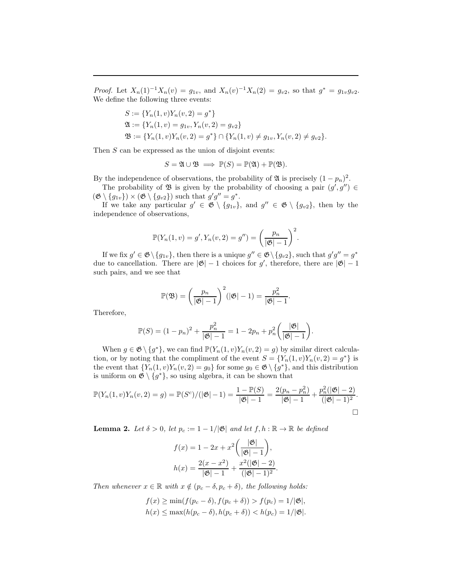*Proof.* Let  $X_n(1)^{-1}X_n(v) = g_{1v}$ , and  $X_n(v)^{-1}X_n(2) = g_{v2}$ , so that  $g^* = g_{1v}g_{v2}$ . We define the following three events:

$$
S := \{ Y_n(1, v) Y_n(v, 2) = g^* \}
$$
  
\n
$$
\mathfrak{A} := \{ Y_n(1, v) = g_{1v}, Y_n(v, 2) = g_{v2} \}
$$
  
\n
$$
\mathfrak{B} := \{ Y_n(1, v) Y_n(v, 2) = g^* \} \cap \{ Y_n(1, v) \neq g_{1v}, Y_n(v, 2) \neq g_{v2} \}.
$$

Then S can be expressed as the union of disjoint events:

$$
S = \mathfrak{A} \cup \mathfrak{B} \implies \mathbb{P}(S) = \mathbb{P}(\mathfrak{A}) + \mathbb{P}(\mathfrak{B}).
$$

By the independence of observations, the probability of  $\mathfrak{A}$  is precisely  $(1 - p_n)^2$ .

The probability of  $\mathfrak{B}$  is given by the probability of choosing a pair  $(g', g'') \in$  $(\mathfrak{G} \setminus \{g_{1v}\}) \times (\mathfrak{G} \setminus \{g_{v2}\})$  such that  $g'g'' = g^*$ .

If we take any particular  $g' \in \mathfrak{G} \setminus \{g_{1v}\}\$ , and  $g'' \in \mathfrak{G} \setminus \{g_{v2}\}\$ , then by the independence of observations,

$$
\mathbb{P}(Y_n(1, v) = g', Y_n(v, 2) = g'') = \left(\frac{p_n}{|\mathfrak{G}|-1}\right)^2.
$$

If we fix  $g' \in \mathfrak{G} \setminus \{g_{1v}\}\$ , then there is a unique  $g'' \in \mathfrak{G} \setminus \{g_{v2}\}\$ , such that  $g'g'' = g^*$ due to cancellation. There are  $|\mathfrak{G}| - 1$  choices for g', therefore, there are  $|\mathfrak{G}| - 1$ such pairs, and we see that

$$
\mathbb{P}(\mathfrak{B}) = \left(\frac{p_n}{|\mathfrak{G}|-1}\right)^2 (|\mathfrak{G}|-1) = \frac{p_n^2}{|\mathfrak{G}|-1}.
$$

Therefore,

$$
\mathbb{P}(S) = (1 - p_n)^2 + \frac{p_n^2}{|\mathfrak{G}|-1} = 1 - 2p_n + p_n^2 \left(\frac{|\mathfrak{G}|}{|\mathfrak{G}|-1}\right).
$$

When  $g \in \mathfrak{G} \setminus \{g^*\}$ , we can find  $\mathbb{P}(Y_n(1,v)Y_n(v, 2) = g)$  by similar direct calculation, or by noting that the compliment of the event  $S = \{Y_n(1, v)Y_n(v, 2) = g^*\}\$ is the event that  $\{Y_n(1,v)Y_n(v,2) = g_0\}$  for some  $g_0 \in \mathfrak{G} \setminus \{g^*\}$ , and this distribution is uniform on  $\mathfrak{G} \setminus \{g^*\}$ , so using algebra, it can be shown that

$$
\mathbb{P}(Y_n(1,v)Y_n(v,2) = g) = \mathbb{P}(S^c)/(|\mathfrak{G}|-1) = \frac{1-\mathbb{P}(S)}{|\mathfrak{G}|-1} = \frac{2(p_n - p_n^2)}{|\mathfrak{G}|-1} + \frac{p_n^2(|\mathfrak{G}|-2)}{(|\mathfrak{G}|-1)^2}.
$$

**Lemma 2.** Let  $\delta > 0$ , let  $p_c := 1 - 1/|\mathfrak{G}|$  and let  $f, h : \mathbb{R} \to \mathbb{R}$  be defined

$$
f(x) = 1 - 2x + x^{2} \left( \frac{|\mathfrak{G}|}{|\mathfrak{G}| - 1} \right),
$$

$$
h(x) = \frac{2(x - x^{2})}{|\mathfrak{G}| - 1} + \frac{x^{2}(|\mathfrak{G}| - 2)}{(|\mathfrak{G}| - 1)^{2}}.
$$

*Then whenever*  $x \in \mathbb{R}$  *with*  $x \notin (p_c - \delta, p_c + \delta)$ *, the following holds:* 

$$
f(x) \ge \min(f(p_c - \delta), f(p_c + \delta)) > f(p_c) = 1/|\mathfrak{G}|,
$$
  

$$
h(x) \le \max(h(p_c - \delta), h(p_c + \delta)) < h(p_c) = 1/|\mathfrak{G}|.
$$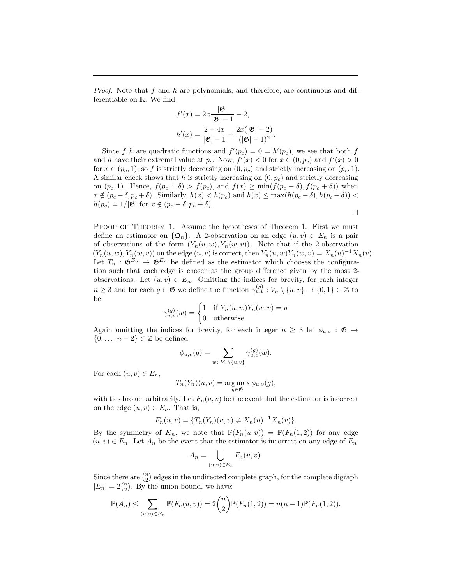*Proof.* Note that f and h are polynomials, and therefore, are continuous and differentiable on R. We find

$$
f'(x) = 2x \frac{|\mathfrak{G}|}{|\mathfrak{G}|-1} - 2,
$$
  

$$
h'(x) = \frac{2 - 4x}{|\mathfrak{G}|-1} + \frac{2x(|\mathfrak{G}|-2)}{(|\mathfrak{G}|-1)^2}.
$$

Since f, h are quadratic functions and  $f'(p_c) = 0 = h'(p_c)$ , we see that both f and h have their extremal value at  $p_c$ . Now,  $f'(x) < 0$  for  $x \in (0, p_c)$  and  $f'(x) > 0$ for  $x \in (p_c, 1)$ , so f is strictly decreasing on  $(0, p_c)$  and strictly increasing on  $(p_c, 1)$ . A similar check shows that h is strictly increasing on  $(0, p_c)$  and strictly decreasing on  $(p_c, 1)$ . Hence,  $f(p_c \pm \delta) > f(p_c)$ , and  $f(x) \ge \min(f(p_c - \delta), f(p_c + \delta))$  when  $x \notin (p_c - \delta, p_c + \delta)$ . Similarly,  $h(x) < h(p_c)$  and  $h(x) \leq \max(h(p_c - \delta), h(p_c + \delta))$  $h(p_c) = 1/|\mathfrak{G}|$  for  $x \notin (p_c - \delta, p_c + \delta)$ .

$$
\Box
$$

PROOF OF THEOREM 1. Assume the hypotheses of Theorem 1. First we must define an estimator on  $\{\mathfrak{Q}_n\}$ . A 2-observation on an edge  $(u, v) \in E_n$  is a pair of observations of the form  $(Y_n(u, w), Y_n(w, v))$ . Note that if the 2-observation  $(Y_n(u, w), Y_n(w, v))$  on the edge  $(u, v)$  is correct, then  $Y_n(u, w)Y_n(w, v) = X_n(u)^{-1}X_n(v)$ . Let  $T_n : \mathfrak{G}^{E_n} \to \mathfrak{G}^{E_n}$  be defined as the estimator which chooses the configuration such that each edge is chosen as the group difference given by the most 2 observations. Let  $(u, v) \in E_n$ . Omitting the indices for brevity, for each integer  $n \geq 3$  and for each  $g \in \mathfrak{G}$  we define the function  $\gamma_{u,v}^{(g)} : V_n \setminus \{u, v\} \to \{0, 1\} \subset \mathbb{Z}$  to be:

$$
\gamma_{u,v}^{(g)}(w) = \begin{cases} 1 & \text{if } Y_n(u,w)Y_n(w,v) = g \\ 0 & \text{otherwise.} \end{cases}
$$

Again omitting the indices for brevity, for each integer  $n \geq 3$  let  $\phi_{u,v} : \mathfrak{G} \to$  $\{0, \ldots, n-2\} \subset \mathbb{Z}$  be defined

$$
\phi_{u,v}(g) = \sum_{w \in V_n \setminus \{u,v\}} \gamma_{u,v}^{(g)}(w).
$$

For each  $(u, v) \in E_n$ ,

$$
T_n(Y_n)(u,v) = \arg\max_{g \in \mathfrak{G}} \phi_{u,v}(g),
$$

with ties broken arbitrarily. Let  $F_n(u, v)$  be the event that the estimator is incorrect on the edge  $(u, v) \in E_n$ . That is,

$$
F_n(u, v) = \{T_n(Y_n)(u, v) \neq X_n(u)^{-1}X_n(v)\}.
$$

By the symmetry of  $K_n$ , we note that  $\mathbb{P}(F_n(u, v)) = \mathbb{P}(F_n(1, 2))$  for any edge  $(u, v) \in E_n$ . Let  $A_n$  be the event that the estimator is incorrect on any edge of  $E_n$ :

$$
A_n = \bigcup_{(u,v)\in E_n} F_n(u,v).
$$

Since there are  $\binom{n}{2}$  edges in the undirected complete graph, for the complete digraph  $|E_n| = 2{n \choose 2}$ . By the union bound, we have:

$$
\mathbb{P}(A_n) \le \sum_{(u,v)\in E_n} \mathbb{P}(F_n(u,v)) = 2\binom{n}{2} \mathbb{P}(F_n(1,2)) = n(n-1)\mathbb{P}(F_n(1,2)).
$$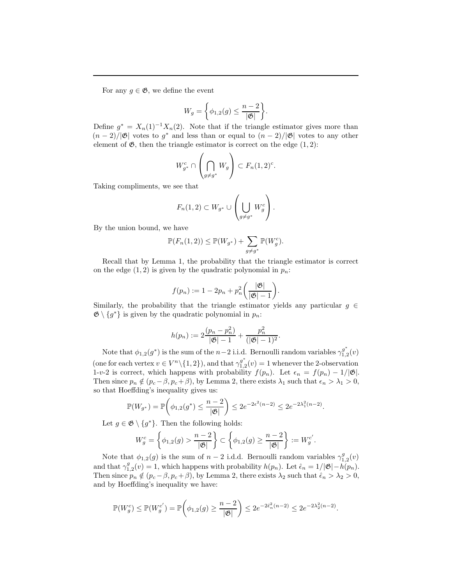For any  $g \in \mathfrak{G}$ , we define the event

$$
W_g = \left\{ \phi_{1,2}(g) \leq \frac{n-2}{|\mathfrak{G}|} \right\}.
$$

Define  $g^* = X_n(1)^{-1}X_n(2)$ . Note that if the triangle estimator gives more than  $(n-2)/|\mathfrak{G}|$  votes to  $g^*$  and less than or equal to  $(n-2)/|\mathfrak{G}|$  votes to any other element of  $\mathfrak{G}$ , then the triangle estimator is correct on the edge  $(1, 2)$ :

$$
W_{g^*}^c \cap \left(\bigcap_{g \neq g^*} W_g\right) \subset F_n(1,2)^c.
$$

Taking compliments, we see that

$$
F_n(1,2) \subset W_{g^*} \cup \left(\bigcup_{g \neq g^*} W_g^c\right).
$$

By the union bound, we have

$$
\mathbb{P}(F_n(1,2)) \leq \mathbb{P}(W_{g^*}) + \sum_{g \neq g^*} \mathbb{P}(W_g^c).
$$

Recall that by Lemma 1, the probability that the triangle estimator is correct on the edge  $(1, 2)$  is given by the quadratic polynomial in  $p_n$ :

$$
f(p_n) := 1 - 2p_n + p_n^2 \bigg( \frac{|\mathfrak{G}|}{|\mathfrak{G}|-1} \bigg).
$$

Similarly, the probability that the triangle estimator yields any particular  $g \in$  $\mathfrak{G} \setminus \{g^*\}$  is given by the quadratic polynomial in  $p_n$ :

$$
h(p_n) := 2\frac{(p_n - p_n^2)}{|\mathfrak{G}| - 1} + \frac{p_n^2}{(|\mathfrak{G}| - 1)^2}
$$

.

Note that  $\phi_{1,2}(g^*)$  is the sum of the n-2 i.i.d. Bernoulli random variables  $\gamma_{1,2}^{g^*}$  $a_{1,2}^{g}(v)$ (one for each vertex  $v \in V^n \setminus \{1, 2\}$ ), and that  $\gamma_{1,2}^{g^*}$  $_{1,2}^{g}(v) = 1$  whenever the 2-observation 1-v-2 is correct, which happens with probability  $f(p_n)$ . Let  $\epsilon_n = f(p_n) - 1/|\mathfrak{G}|$ . Then since  $p_n \notin (p_c - \beta, p_c + \beta)$ , by Lemma 2, there exists  $\lambda_1$  such that  $\epsilon_n > \lambda_1 > 0$ , so that Hoeffding's inequality gives us:

$$
\mathbb{P}(W_{g^*}) = \mathbb{P}\bigg(\phi_{1,2}(g^*) \le \frac{n-2}{|\mathfrak{G}|}\bigg) \le 2e^{-2\epsilon^2(n-2)} \le 2e^{-2\lambda_1^2(n-2)}.
$$

Let  $g \in \mathfrak{G} \setminus \{g^*\}.$  Then the following holds:

$$
W_g^c = \left\{ \phi_{1,2}(g) > \frac{n-2}{|\mathfrak{G}|} \right\} \subset \left\{ \phi_{1,2}(g) \ge \frac{n-2}{|\mathfrak{G}|} \right\} := W_g^{c'}.
$$

Note that  $\phi_{1,2}(g)$  is the sum of  $n-2$  i.d.d. Bernoulli random variables  $\gamma_{1,2}^g(v)$ and that  $\gamma_{1,2}^g(v) = 1$ , which happens with probability  $h(p_n)$ . Let  $\hat{\epsilon}_n = 1/|\mathfrak{G}| - h(p_n)$ . Then since  $p_n \notin (p_c - \beta, p_c + \beta)$ , by Lemma 2, there exists  $\lambda_2$  such that  $\hat{\epsilon}_n > \lambda_2 > 0$ , and by Hoeffding's inequality we have:

$$
\mathbb{P}(W_g^c) \le \mathbb{P}(W_g^{c'}) = \mathbb{P}\bigg(\phi_{1,2}(g) \ge \frac{n-2}{|\mathfrak{G}|}\bigg) \le 2e^{-2\hat{\epsilon}_n^2(n-2)} \le 2e^{-2\lambda_2^2(n-2)}.
$$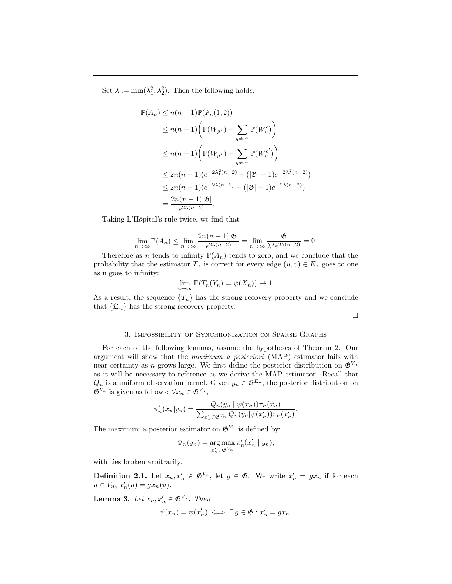Set  $\lambda := \min(\lambda_1^2, \lambda_2^2)$ . Then the following holds:

$$
\mathbb{P}(A_n) \le n(n-1)\mathbb{P}(F_n(1,2))
$$
  
\n
$$
\le n(n-1)\left(\mathbb{P}(W_{g^*}) + \sum_{g \ne g^*} \mathbb{P}(W_g^c)\right)
$$
  
\n
$$
\le n(n-1)\left(\mathbb{P}(W_{g^*}) + \sum_{g \ne g^*} \mathbb{P}(W_g^c')\right)
$$
  
\n
$$
\le 2n(n-1)(e^{-2\lambda_1^2(n-2)} + (|\mathfrak{G}| - 1)e^{-2\lambda_2^2(n-2)})
$$
  
\n
$$
\le 2n(n-1)(e^{-2\lambda(n-2)} + (|\mathfrak{G}| - 1)e^{-2\lambda(n-2)})
$$
  
\n
$$
= \frac{2n(n-1)|\mathfrak{G}|}{e^{2\lambda(n-2)}}.
$$

Taking L'Hôpital's rule twice, we find that

$$
\lim_{n \to \infty} \mathbb{P}(A_n) \le \lim_{n \to \infty} \frac{2n(n-1)|\mathfrak{G}|}{e^{2\lambda(n-2)}} = \lim_{n \to \infty} \frac{|\mathfrak{G}|}{\lambda^2 e^{2\lambda(n-2)}} = 0.
$$

Therefore as *n* tends to infinity  $\mathbb{P}(A_n)$  tends to zero, and we conclude that the probability that the estimator  $T_n$  is correct for every edge  $(u, v) \in E_n$  goes to one as n goes to infinity:

$$
\lim_{n \to \infty} \mathbb{P}(T_n(Y_n) = \psi(X_n)) \to 1.
$$

As a result, the sequence  $\{T_n\}$  has the strong recovery property and we conclude that  $\{\mathfrak{Q}_n\}$  has the strong recovery property.

 $\Box$ 

#### 3. Impossibility of Synchronization on Sparse Graphs

For each of the following lemmas, assume the hypotheses of Theorem 2. Our argument will show that the *maximum a posteriori* (MAP) estimator fails with near certainty as n grows large. We first define the posterior distribution on  $\mathfrak{G}^{V_n}$ as it will be necessary to reference as we derive the MAP estimator. Recall that  $Q_n$  is a uniform observation kernel. Given  $y_n \in \mathfrak{G}^{E_n}$ , the posterior distribution on  $\mathfrak{G}^{V_n}$  is given as follows:  $\forall x_n \in \mathfrak{G}^{V_n}$ ,

$$
\pi'_n(x_n|y_n) = \frac{Q_n(y_n | \psi(x_n))\pi_n(x_n)}{\sum_{x'_n \in \mathfrak{G}^{V_n}} Q_n(y_n | \psi(x'_n))\pi_n(x'_n)}.
$$

The maximum a posterior estimator on  $\mathfrak{G}^{V_n}$  is defined by:

$$
\Phi_n(y_n) = \operatorname*{arg\,max}_{x'_n \in \mathfrak{G}^{V_n}} \pi'_n(x'_n \mid y_n),
$$

with ties broken arbitrarily.

**Definition 2.1.** Let  $x_n, x'_n \in \mathfrak{G}^{V_n}$ , let  $g \in \mathfrak{G}$ . We write  $x'_n = gx_n$  if for each  $u \in V_n$ ,  $x'_n(u) = gx_n(u)$ .

**Lemma 3.** Let  $x_n, x'_n \in \mathfrak{G}^{V_n}$ . Then

$$
\psi(x_n) = \psi(x'_n) \iff \exists g \in \mathfrak{G} : x'_n = gx_n.
$$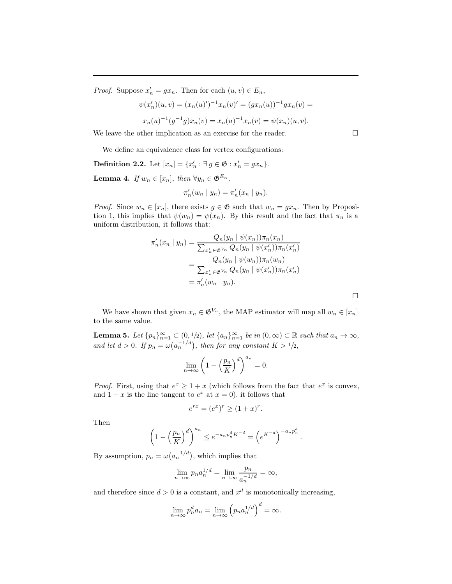*Proof.* Suppose  $x'_n = gx_n$ . Then for each  $(u, v) \in E_n$ ,

$$
\psi(x'_n)(u, v) = (x_n(u)')^{-1}x_n(v)' = (gx_n(u))^{-1}gx_n(v) =
$$
  

$$
x_n(u)^{-1}(g^{-1}g)x_n(v) = x_n(u)^{-1}x_n(v) = \psi(x_n)(u, v).
$$

We leave the other implication as an exercise for the reader.

We define an equivalence class for vertex configurations:

**Definition 2.2.** Let  $[x_n] = \{x'_n : \exists g \in \mathfrak{G} : x'_n = gx_n\}.$ 

**Lemma 4.** *If*  $w_n \in [x_n]$ *, then*  $\forall y_n \in \mathfrak{G}^{E_n}$ *,* 

$$
\pi'_n(w_n \mid y_n) = \pi'_n(x_n \mid y_n).
$$

*Proof.* Since  $w_n \in [x_n]$ , there exists  $g \in \mathfrak{G}$  such that  $w_n = gx_n$ . Then by Proposition 1, this implies that  $\psi(w_n) = \psi(x_n)$ . By this result and the fact that  $\pi_n$  is a uniform distribution, it follows that:

$$
\pi'_n(x_n \mid y_n) = \frac{Q_n(y_n \mid \psi(x_n))\pi_n(x_n)}{\sum_{x'_n \in \mathfrak{G}^{V_n}} Q_n(y_n \mid \psi(x'_n))\pi_n(x'_n)}
$$
  
= 
$$
\frac{Q_n(y_n \mid \psi(w_n))\pi_n(w_n)}{\sum_{x'_n \in \mathfrak{G}^{V_n}} Q_n(y_n \mid \psi(x'_n))\pi_n(x'_n)}
$$
  
= 
$$
\pi'_n(w_n \mid y_n).
$$

We have shown that given  $x_n \in \mathfrak{G}^{V_n}$ , the MAP estimator will map all  $w_n \in [x_n]$ to the same value.

**Lemma 5.** Let  $\{p_n\}_{n=1}^{\infty} \subset (0, 1/2)$ , let  $\{a_n\}_{n=1}^{\infty}$  be in  $(0, \infty) \subset \mathbb{R}$  such that  $a_n \to \infty$ , and let  $d > 0$ . If  $p_n = \omega(a_n^{-1/d})$ , then for any constant  $K > 1/2$ ,

$$
\lim_{n \to \infty} \left( 1 - \left( \frac{p_n}{K} \right)^d \right)^{a_n} = 0.
$$

*Proof.* First, using that  $e^x \geq 1 + x$  (which follows from the fact that  $e^x$  is convex, and  $1 + x$  is the line tangent to  $e^x$  at  $x = 0$ , it follows that

$$
e^{rx} = (e^x)^r \ge (1+x)^r.
$$

Then

$$
\left(1 - \left(\frac{p_n}{K}\right)^d\right)^{a_n} \le e^{-a_n p_n^d K^{-d}} = \left(e^{K^{-d}}\right)^{-a_n p_n^d}.
$$

By assumption,  $p_n = \omega(a_n^{-1/d})$ , which implies that

$$
\lim_{n \to \infty} p_n a_n^{1/d} = \lim_{n \to \infty} \frac{p_n}{a_n^{-1/d}} = \infty,
$$

and therefore since  $d > 0$  is a constant, and  $x^d$  is monotonically increasing,

$$
\lim_{n \to \infty} p_n^d a_n = \lim_{n \to \infty} \left( p_n a_n^{1/d} \right)^d = \infty.
$$

 $\Box$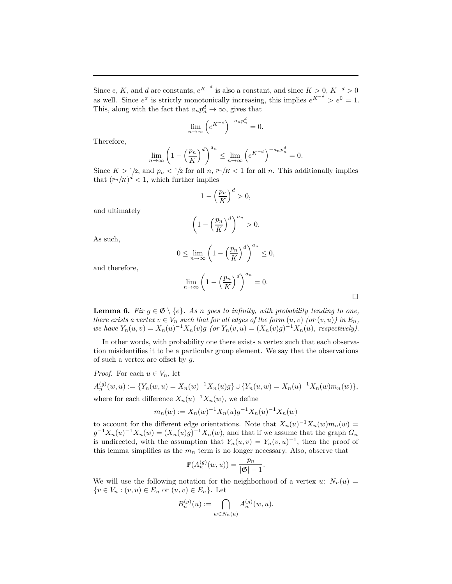Since e, K, and d are constants,  $e^{K^{-d}}$  is also a constant, and since  $K > 0$ ,  $K^{-d} > 0$ as well. Since  $e^x$  is strictly monotonically increasing, this implies  $e^{K^{-d}} > e^0 = 1$ . This, along with the fact that  $a_n p_n^d \to \infty$ , gives that

$$
\lim_{n \to \infty} \left( e^{K^{-d}} \right)^{-a_n p_n^d} = 0.
$$

Therefore,

$$
\lim_{n \to \infty} \left( 1 - \left(\frac{p_n}{K}\right)^d \right)^{a_n} \le \lim_{n \to \infty} \left( e^{K^{-d}} \right)^{-a_n p_n^d} = 0.
$$

Since  $K > 1/2$ , and  $p_n < 1/2$  for all  $n, p_n/K < 1$  for all n. This additionally implies that  $\left(\frac{p_n}{K}\right)^d < 1$ , which further implies

$$
1 - \left(\frac{p_n}{K}\right)^d > 0,
$$

and ultimately

$$
\left(1 - \left(\frac{p_n}{K}\right)^d\right)^{a_n} > 0.
$$

As such,

$$
0 \le \lim_{n \to \infty} \left( 1 - \left(\frac{p_n}{K}\right)^d \right)^{a_n} \le 0,
$$

and therefore,

$$
\lim_{n \to \infty} \left( 1 - \left( \frac{p_n}{K} \right)^d \right)^{a_n} = 0.
$$

 $\Box$ 

**Lemma 6.** *Fix*  $g \in \mathfrak{G} \setminus \{e\}$ . As n goes to infinity, with probability tending to one, *there exists a vertex*  $v \in V_n$  *such that for all edges of the form*  $(u, v)$  *(or*  $(v, u)$ *) in*  $E_n$ *, we have*  $Y_n(u, v) = X_n(u)^{-1} X_n(v)g$  *(or*  $Y_n(v, u) = (X_n(v)g)^{-1} X_n(u)$ *, respectively).* 

In other words, with probability one there exists a vertex such that each observation misidentifies it to be a particular group element. We say that the observations of such a vertex are offset by  $g$ .

*Proof.* For each  $u \in V_n$ , let

 $A_n^{(g)}(w, u) := \{ Y_n(w, u) = X_n(w)^{-1} X_n(u) g \} \cup \{ Y_n(u, w) = X_n(u)^{-1} X_n(w) m_n(w) \},$ where for each difference  $X_n(u)^{-1}X_n(w)$ , we define

$$
m_n(w) := X_n(w)^{-1} X_n(u) g^{-1} X_n(u)^{-1} X_n(w)
$$

to account for the different edge orientations. Note that  $X_n(u)^{-1}X_n(w)m_n(w) =$  $g^{-1}X_n(u)^{-1}X_n(w) = (X_n(u)g)^{-1}X_n(w)$ , and that if we assume that the graph  $G_n$ is undirected, with the assumption that  $Y_n(u, v) = Y_n(v, u)^{-1}$ , then the proof of this lemma simplifies as the  $m_n$  term is no longer necessary. Also, observe that

$$
\mathbb{P}(A_n^{(g)}(w, u)) = \frac{p_n}{|\mathfrak{G}| - 1}.
$$

We will use the following notation for the neighborhood of a vertex u:  $N_n(u)$  =  ${v \in V_n : (v, u) \in E_n \text{ or } (u, v) \in E_n}.$  Let

$$
B_n^{(g)}(u) := \bigcap_{w \in N_n(u)} A_n^{(g)}(w, u).
$$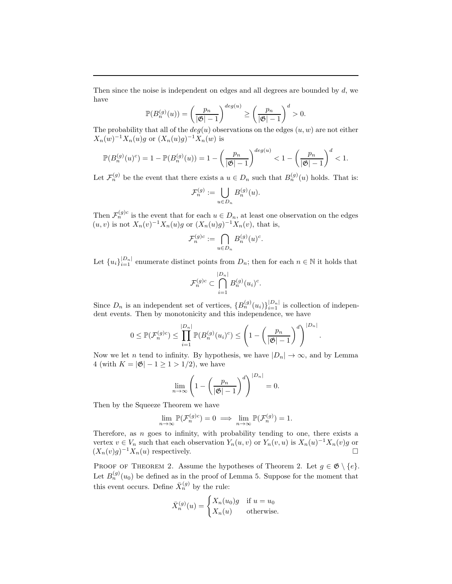Then since the noise is independent on edges and all degrees are bounded by d, we have

$$
\mathbb{P}(B_n^{(g)}(u)) = \left(\frac{p_n}{|\mathfrak{G}|-1}\right)^{deg(u)} \ge \left(\frac{p_n}{|\mathfrak{G}|-1}\right)^d > 0.
$$

The probability that all of the  $deg(u)$  observations on the edges  $(u, w)$  are not either  $X_n(w)^{-1}X_n(u)g$  or  $(X_n(u)g)^{-1}X_n(w)$  is

$$
\mathbb{P}(B_n^{(g)}(u)^c) = 1 - \mathbb{P}(B_n^{(g)}(u)) = 1 - \left(\frac{p_n}{|\mathfrak{G}|-1}\right)^{deg(u)} < 1 - \left(\frac{p_n}{|\mathfrak{G}|-1}\right)^d < 1.
$$

Let  $\mathcal{F}_n^{(g)}$  be the event that there exists a  $u \in D_n$  such that  $B_n^{(g)}(u)$  holds. That is:

$$
\mathcal{F}_n^{(g)} := \bigcup_{u \in D_n} B_n^{(g)}(u).
$$

Then  $\mathcal{F}_n^{(g)c}$  is the event that for each  $u \in D_n$ , at least one observation on the edges  $(u, v)$  is not  $X_n(v)^{-1}X_n(u)g$  or  $(X_n(u)g)^{-1}X_n(v)$ , that is,

$$
\mathcal{F}_n^{(g)c} := \bigcap_{u \in D_n} B_n^{(g)}(u)^c.
$$

Let  ${u_i}_{i=1}^{|D_n|}$  enumerate distinct points from  $D_n$ ; then for each  $n \in \mathbb{N}$  it holds that

$$
\mathcal{F}_n^{(g)c} \subset \bigcap_{i=1}^{|D_n|} B_n^{(g)}(u_i)^c.
$$

Since  $D_n$  is an independent set of vertices,  ${B_n^{(g)}(u_i)}_{i=1}^{|D_n|}$  is collection of independent events. Then by monotonicity and this independence, we have

$$
0 \leq \mathbb{P}(\mathcal{F}_n^{(g)c}) \leq \prod_{i=1}^{|D_n|} \mathbb{P}(B_n^{(g)}(u_i)^c) \leq \left(1 - \left(\frac{p_n}{|\mathfrak{G}|-1}\right)^d\right)^{|D_n|}.
$$

Now we let *n* tend to infinity. By hypothesis, we have  $|D_n| \to \infty$ , and by Lemma 4 (with  $K = |\mathfrak{G}| - 1 \ge 1 > 1/2$ ), we have

$$
\lim_{n\to\infty}\left(1-\left(\frac{p_n}{|\mathfrak{G}|-1}\right)^d\right)^{|D_n|}=0.
$$

Then by the Squeeze Theorem we have

$$
\lim_{n \to \infty} \mathbb{P}(\mathcal{F}_n^{(g)c}) = 0 \implies \lim_{n \to \infty} \mathbb{P}(\mathcal{F}_n^{(g)}) = 1.
$$

Therefore, as  $n$  goes to infinity, with probability tending to one, there exists a vertex  $v \in V_n$  such that each observation  $Y_n(u, v)$  or  $Y_n(v, u)$  is  $X_n(u)^{-1}X_n(v)g$  or  $(X_n(v)g)^{-1}X_n(u)$  respectively.

PROOF OF THEOREM 2. Assume the hypotheses of Theorem 2. Let  $g \in \mathfrak{G} \setminus \{e\}.$ Let  $B_n^{(g)}(u_0)$  be defined as in the proof of Lemma 5. Suppose for the moment that this event occurs. Define  $\bar{X}_n^{(g)}$  by the rule:

$$
\bar{X}_n^{(g)}(u) = \begin{cases} X_n(u_0)g & \text{if } u = u_0 \\ X_n(u) & \text{otherwise.} \end{cases}
$$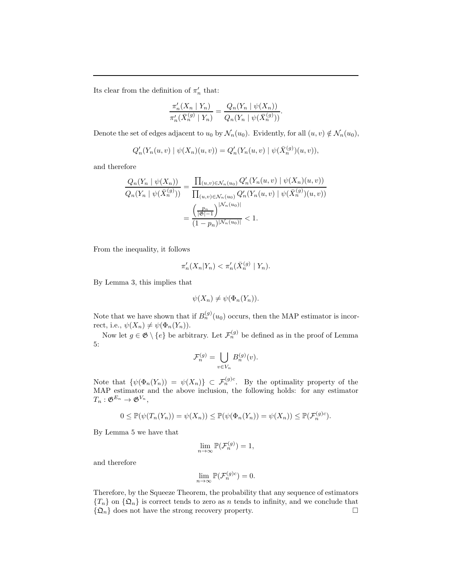Its clear from the definition of  $\pi'_n$  that:

$$
\frac{\pi'_n(X_n | Y_n)}{\pi'_n(\bar{X}_n^{(g)} | Y_n)} = \frac{Q_n(Y_n | \psi(X_n))}{Q_n(Y_n | \psi(\bar{X}_n^{(g)}))}.
$$

Denote the set of edges adjacent to  $u_0$  by  $\mathcal{N}_n(u_0)$ . Evidently, for all  $(u, v) \notin \mathcal{N}_n(u_0)$ ,

$$
Q'_n(Y_n(u,v) | \psi(X_n)(u,v)) = Q'_n(Y_n(u,v) | \psi(\bar{X}_n^{(g)})(u,v)),
$$

and therefore

$$
\frac{Q_n(Y_n | \psi(X_n))}{Q_n(Y_n | \psi(\bar{X}_n^{(g)}))} = \frac{\prod_{(u,v) \in \mathcal{N}_n(u_0)} Q'_n(Y_n(u,v) | \psi(X_n)(u,v))}{\prod_{(u,v) \in \mathcal{N}_n(u_0)} Q'_n(Y_n(u,v) | \psi(\bar{X}_n^{(g)})(u,v))}
$$

$$
= \frac{\left(\frac{p_n}{|\mathfrak{G}|-1}\right)^{|\mathcal{N}_n(u_0)|}}{(1-p_n)^{|\mathcal{N}_n(u_0)|}} < 1.
$$

From the inequality, it follows

$$
\pi'_n(X_n|Y_n) < \pi'_n(\bar{X}_n^{(g)} \mid Y_n).
$$

By Lemma 3, this implies that

$$
\psi(X_n) \neq \psi(\Phi_n(Y_n)).
$$

Note that we have shown that if  $B_n^{(g)}(u_0)$  occurs, then the MAP estimator is incorrect, i.e.,  $\psi(X_n) \neq \psi(\Phi_n(Y_n)).$ 

Now let  $g \in \mathfrak{G} \setminus \{e\}$  be arbitrary. Let  $\mathcal{F}_n^{(g)}$  be defined as in the proof of Lemma 5:

$$
\mathcal{F}_n^{(g)} = \bigcup_{v \in V_n} B_n^{(g)}(v).
$$

Note that  $\{\psi(\Phi_n(Y_n)) = \psi(X_n)\}\subset \mathcal{F}_n^{(g)c}$ . By the optimality property of the MAP estimator and the above inclusion, the following holds: for any estimator  $T_n : \mathfrak{G}^{E_n} \to \mathfrak{G}^{V_n},$ 

$$
0 \leq \mathbb{P}(\psi(T_n(Y_n)) = \psi(X_n)) \leq \mathbb{P}(\psi(\Phi_n(Y_n)) = \psi(X_n)) \leq \mathbb{P}(\mathcal{F}_n^{(g)c}).
$$

By Lemma 5 we have that

$$
\lim_{n \to \infty} \mathbb{P}(\mathcal{F}_n^{(g)}) = 1,
$$

and therefore

$$
\lim_{n \to \infty} \mathbb{P}(\mathcal{F}_n^{(g)c}) = 0.
$$

Therefore, by the Squeeze Theorem, the probability that any sequence of estimators  ${T_n}$  on  ${\{\Omega_n\}}$  is correct tends to zero as *n* tends to infinity, and we conclude that  ${\{\Omega_n\}}$  does not have the strong recovery property.  $\{\mathfrak{Q}_n\}$  does not have the strong recovery property.